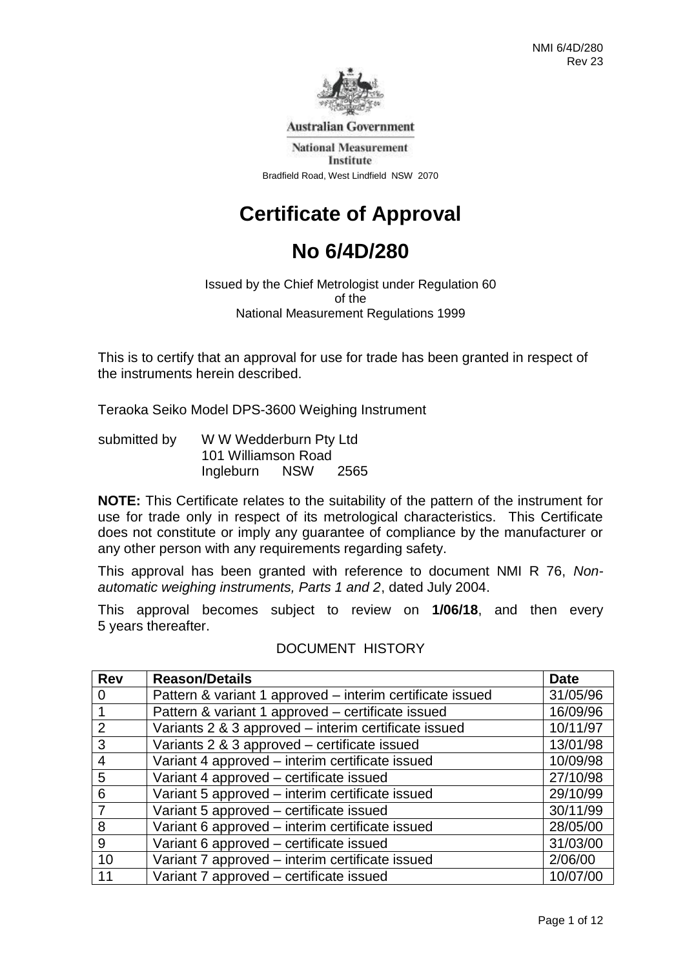

**Australian Government** 

**National Measurement** Institute Bradfield Road, West Lindfield NSW 2070

# **Certificate of Approval**

## **No 6/4D/280**

Issued by the Chief Metrologist under Regulation 60 of the National Measurement Regulations 1999

This is to certify that an approval for use for trade has been granted in respect of the instruments herein described.

Teraoka Seiko Model DPS-3600 Weighing Instrument

| submitted by | W W Wedderburn Pty Ltd |            |      |
|--------------|------------------------|------------|------|
|              | 101 Williamson Road    |            |      |
|              | Ingleburn              | <b>NSW</b> | 2565 |

**NOTE:** This Certificate relates to the suitability of the pattern of the instrument for use for trade only in respect of its metrological characteristics. This Certificate does not constitute or imply any guarantee of compliance by the manufacturer or any other person with any requirements regarding safety.

This approval has been granted with reference to document NMI R 76, *Nonautomatic weighing instruments, Parts 1 and 2*, dated July 2004.

This approval becomes subject to review on **1/06/18**, and then every 5 years thereafter.

### DOCUMENT HISTORY

| <b>Rev</b>     | <b>Reason/Details</b>                                     | <b>Date</b> |
|----------------|-----------------------------------------------------------|-------------|
| $\Omega$       | Pattern & variant 1 approved - interim certificate issued | 31/05/96    |
|                | Pattern & variant 1 approved - certificate issued         | 16/09/96    |
| $\overline{2}$ | Variants 2 & 3 approved - interim certificate issued      | 10/11/97    |
| 3              | Variants 2 & 3 approved - certificate issued              | 13/01/98    |
| $\overline{4}$ | Variant 4 approved - interim certificate issued           | 10/09/98    |
| 5              | Variant 4 approved - certificate issued                   | 27/10/98    |
| 6              | Variant 5 approved - interim certificate issued           | 29/10/99    |
| 7              | Variant 5 approved - certificate issued                   | 30/11/99    |
| 8              | Variant 6 approved - interim certificate issued           | 28/05/00    |
| 9              | Variant 6 approved - certificate issued                   | 31/03/00    |
| 10             | Variant 7 approved - interim certificate issued           | 2/06/00     |
| 11             | Variant 7 approved - certificate issued                   | 10/07/00    |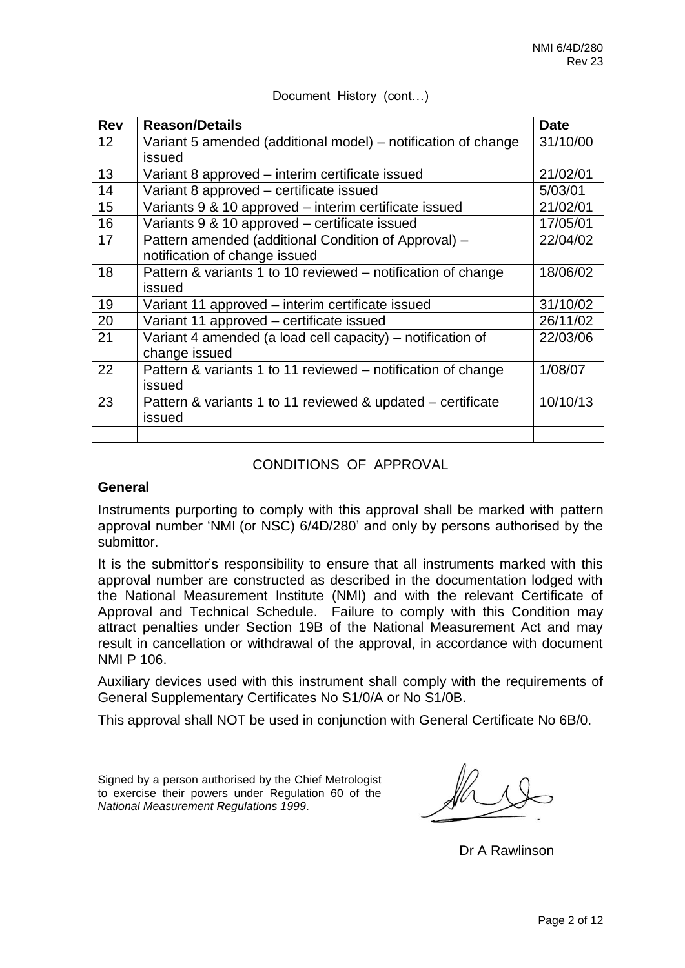| <b>Rev</b> | <b>Reason/Details</b>                                         | <b>Date</b> |
|------------|---------------------------------------------------------------|-------------|
| 12         | Variant 5 amended (additional model) – notification of change | 31/10/00    |
|            | issued                                                        |             |
| 13         | Variant 8 approved - interim certificate issued               | 21/02/01    |
| 14         | Variant 8 approved - certificate issued                       | 5/03/01     |
| 15         | Variants 9 & 10 approved – interim certificate issued         | 21/02/01    |
| 16         | Variants 9 & 10 approved - certificate issued                 | 17/05/01    |
| 17         | Pattern amended (additional Condition of Approval) -          | 22/04/02    |
|            | notification of change issued                                 |             |
| 18         | Pattern & variants 1 to 10 reviewed – notification of change  | 18/06/02    |
|            | issued                                                        |             |
| 19         | Variant 11 approved – interim certificate issued              | 31/10/02    |
| 20         | Variant 11 approved - certificate issued                      | 26/11/02    |
| 21         | Variant 4 amended (a load cell capacity) – notification of    | 22/03/06    |
|            | change issued                                                 |             |
| 22         | Pattern & variants 1 to 11 reviewed – notification of change  | 1/08/07     |
|            | issued                                                        |             |
| 23         | Pattern & variants 1 to 11 reviewed & updated – certificate   | 10/10/13    |
|            | issued                                                        |             |
|            |                                                               |             |

Document History (cont…)

### CONDITIONS OF APPROVAL

### **General**

Instruments purporting to comply with this approval shall be marked with pattern approval number 'NMI (or NSC) 6/4D/280' and only by persons authorised by the submittor.

It is the submittor's responsibility to ensure that all instruments marked with this approval number are constructed as described in the documentation lodged with the National Measurement Institute (NMI) and with the relevant Certificate of Approval and Technical Schedule. Failure to comply with this Condition may attract penalties under Section 19B of the National Measurement Act and may result in cancellation or withdrawal of the approval, in accordance with document NMI P 106.

Auxiliary devices used with this instrument shall comply with the requirements of General Supplementary Certificates No S1/0/A or No S1/0B.

This approval shall NOT be used in conjunction with General Certificate No 6B/0.

Signed by a person authorised by the Chief Metrologist to exercise their powers under Regulation 60 of the *National Measurement Regulations 1999*.

Dr A Rawlinson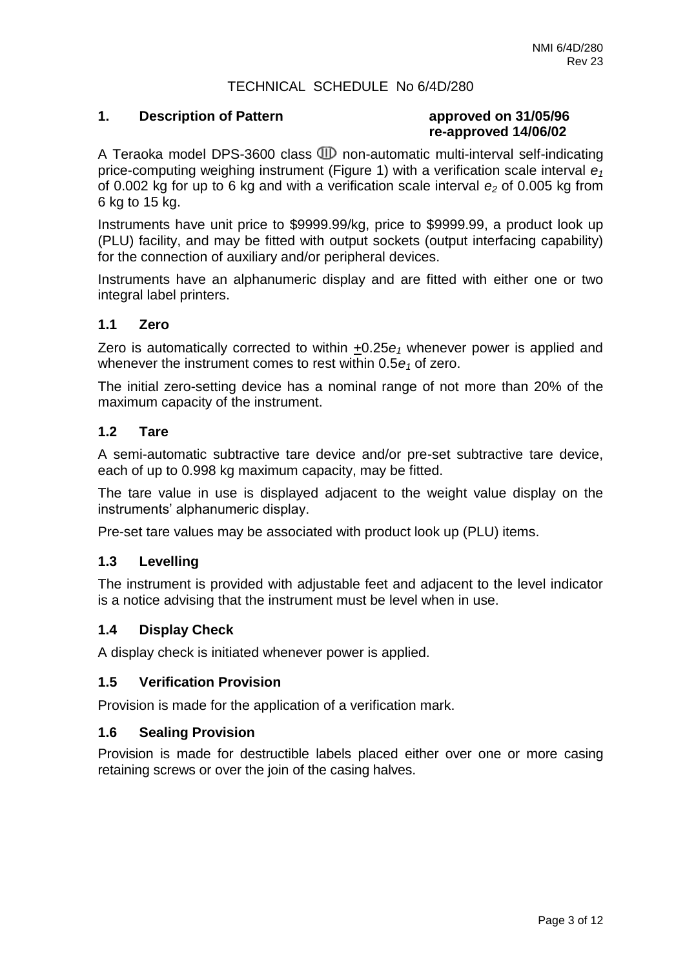### TECHNICAL SCHEDULE No 6/4D/280

### **1. Description of Pattern approved on 31/05/96**

# **re-approved 14/06/02**

A Teraoka model DPS-3600 class  $I\!\!\!\!D$  non-automatic multi-interval self-indicating price-computing weighing instrument (Figure 1) with a verification scale interval *e<sup>1</sup>* of 0.002 kg for up to 6 kg and with a verification scale interval *e<sup>2</sup>* of 0.005 kg from 6 kg to 15 kg.

Instruments have unit price to \$9999.99/kg, price to \$9999.99, a product look up (PLU) facility, and may be fitted with output sockets (output interfacing capability) for the connection of auxiliary and/or peripheral devices.

Instruments have an alphanumeric display and are fitted with either one or two integral label printers.

### **1.1 Zero**

Zero is automatically corrected to within +0.25*e<sup>1</sup>* whenever power is applied and whenever the instrument comes to rest within 0.5 $e_1$  of zero.

The initial zero-setting device has a nominal range of not more than 20% of the maximum capacity of the instrument.

### **1.2 Tare**

A semi-automatic subtractive tare device and/or pre-set subtractive tare device, each of up to 0.998 kg maximum capacity, may be fitted.

The tare value in use is displayed adjacent to the weight value display on the instruments' alphanumeric display.

Pre-set tare values may be associated with product look up (PLU) items.

### **1.3 Levelling**

The instrument is provided with adjustable feet and adjacent to the level indicator is a notice advising that the instrument must be level when in use.

### **1.4 Display Check**

A display check is initiated whenever power is applied.

### **1.5 Verification Provision**

Provision is made for the application of a verification mark.

### **1.6 Sealing Provision**

Provision is made for destructible labels placed either over one or more casing retaining screws or over the join of the casing halves.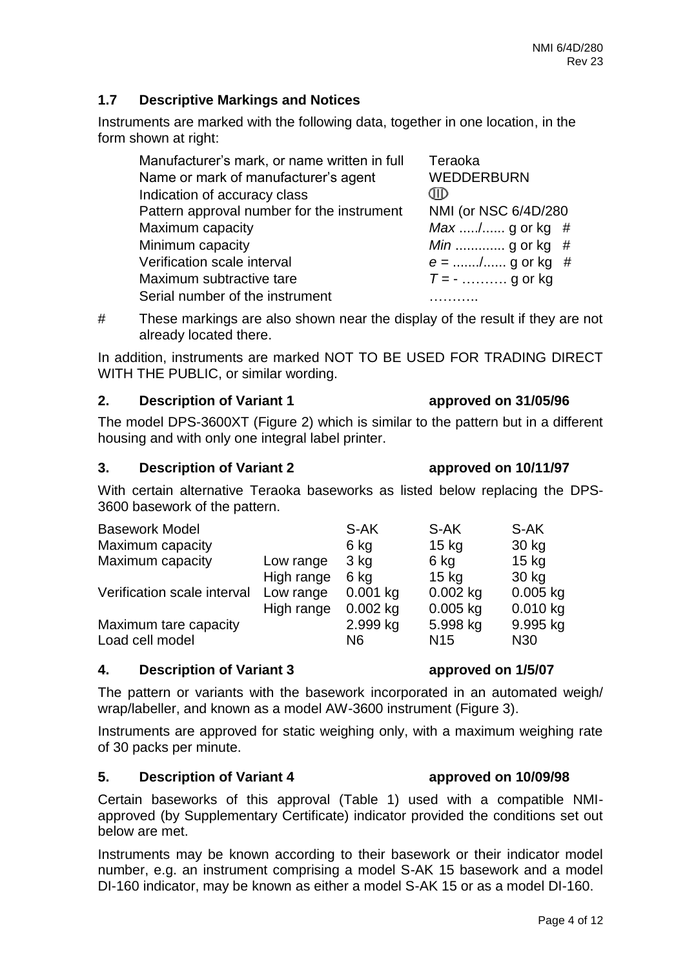### **1.7 Descriptive Markings and Notices**

Instruments are marked with the following data, together in one location, in the form shown at right:

| Manufacturer's mark, or name written in full | Teraoka                |
|----------------------------------------------|------------------------|
| Name or mark of manufacturer's agent         | <b>WEDDERBURN</b>      |
| Indication of accuracy class                 | CIID                   |
| Pattern approval number for the instrument   | NMI (or NSC 6/4D/280   |
| Maximum capacity                             | <i>Max</i> / g or kg # |
| Minimum capacity                             | <i>Min</i> g or kg #   |
| Verification scale interval                  | $e =$ / g or kg #      |
| Maximum subtractive tare                     | $T = -$ g or kg        |
| Serial number of the instrument              |                        |

# These markings are also shown near the display of the result if they are not already located there.

In addition, instruments are marked NOT TO BE USED FOR TRADING DIRECT WITH THE PUBLIC, or similar wording.

### **2. Description of Variant 1 approved on 31/05/96**

The model DPS-3600XT (Figure 2) which is similar to the pattern but in a different housing and with only one integral label printer.

### **3. Description of Variant 2 approved on 10/11/97**

With certain alternative Teraoka baseworks as listed below replacing the DPS-3600 basework of the pattern.

| <b>Basework Model</b>       |            | S-AK            | S-AK            | S-AK            |
|-----------------------------|------------|-----------------|-----------------|-----------------|
| Maximum capacity            |            | 6 kg            | $15$ kg         | 30 kg           |
| Maximum capacity            | Low range  | 3 <sub>kg</sub> | 6 kg            | $15$ kg         |
|                             | High range | 6 kg            | $15$ kg         | 30 kg           |
| Verification scale interval | Low range  | $0.001$ kg      | $0.002$ kg      | $0.005$ kg      |
|                             | High range | $0.002$ kg      | $0.005$ kg      | 0.010 kg        |
| Maximum tare capacity       |            | 2.999 kg        | 5.998 kg        | 9.995 kg        |
| Load cell model             |            | N6              | N <sub>15</sub> | N <sub>30</sub> |

### **4. Description of Variant 3 approved on 1/5/07**

The pattern or variants with the basework incorporated in an automated weigh/ wrap/labeller, and known as a model AW-3600 instrument (Figure 3).

Instruments are approved for static weighing only, with a maximum weighing rate of 30 packs per minute.

### **5. Description of Variant 4 approved on 10/09/98**

Certain baseworks of this approval (Table 1) used with a compatible NMIapproved (by Supplementary Certificate) indicator provided the conditions set out below are met.

Instruments may be known according to their basework or their indicator model number, e.g. an instrument comprising a model S-AK 15 basework and a model DI-160 indicator, may be known as either a model S-AK 15 or as a model DI-160.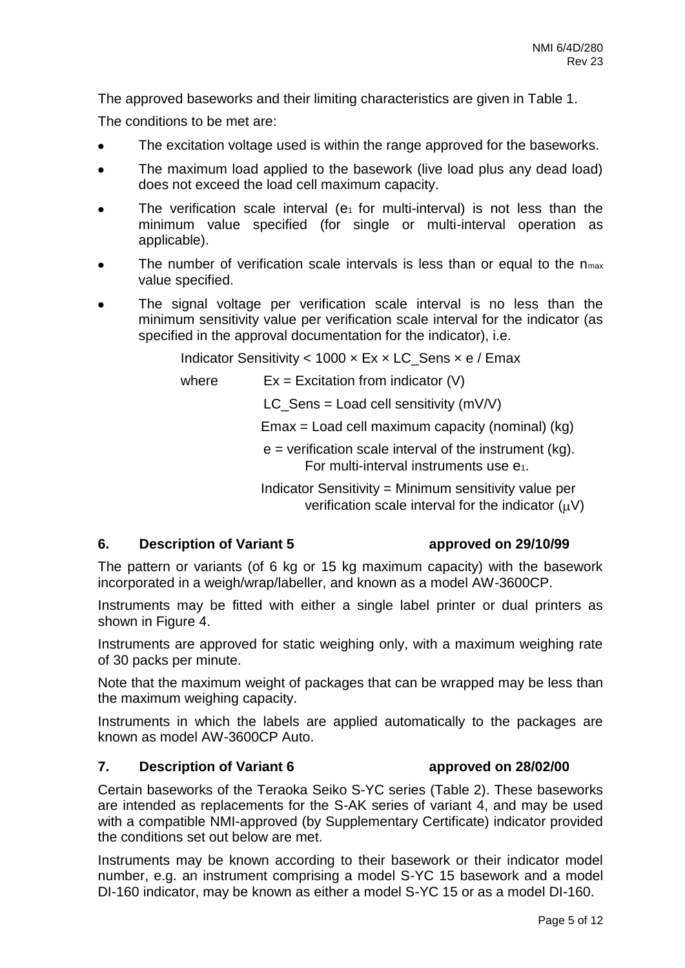The approved baseworks and their limiting characteristics are given in Table 1.

The conditions to be met are:

- The excitation voltage used is within the range approved for the baseworks.
- The maximum load applied to the basework (live load plus any dead load)  $\bullet$ does not exceed the load cell maximum capacity.
- The verification scale interval ( $e_1$  for multi-interval) is not less than the minimum value specified (for single or multi-interval operation as applicable).
- The number of verification scale intervals is less than or equal to the  $n_{max}$ value specified.
- The signal voltage per verification scale interval is no less than the minimum sensitivity value per verification scale interval for the indicator (as specified in the approval documentation for the indicator), i.e.

Indicator Sensitivity < 1000  $\times$  Ex  $\times$  LC\_Sens  $\times$  e / Emax

where  $Ex = Excitation from indicator (V)$ 

 $LC$ \_Sens = Load cell sensitivity (mV/V)

Emax = Load cell maximum capacity (nominal) (kg)

 $e$  = verification scale interval of the instrument (kg). For multi-interval instruments use e1.

Indicator Sensitivity = Minimum sensitivity value per verification scale interval for the indicator  $(uV)$ 

### **6. Description of Variant 5 approved on 29/10/99**

The pattern or variants (of 6 kg or 15 kg maximum capacity) with the basework incorporated in a weigh/wrap/labeller, and known as a model AW-3600CP.

Instruments may be fitted with either a single label printer or dual printers as shown in Figure 4.

Instruments are approved for static weighing only, with a maximum weighing rate of 30 packs per minute.

Note that the maximum weight of packages that can be wrapped may be less than the maximum weighing capacity.

Instruments in which the labels are applied automatically to the packages are known as model AW-3600CP Auto.

### **7. Description of Variant 6 approved on 28/02/00**

Certain baseworks of the Teraoka Seiko S-YC series (Table 2). These baseworks are intended as replacements for the S-AK series of variant 4, and may be used with a compatible NMI-approved (by Supplementary Certificate) indicator provided the conditions set out below are met.

Instruments may be known according to their basework or their indicator model number, e.g. an instrument comprising a model S-YC 15 basework and a model DI-160 indicator, may be known as either a model S-YC 15 or as a model DI-160.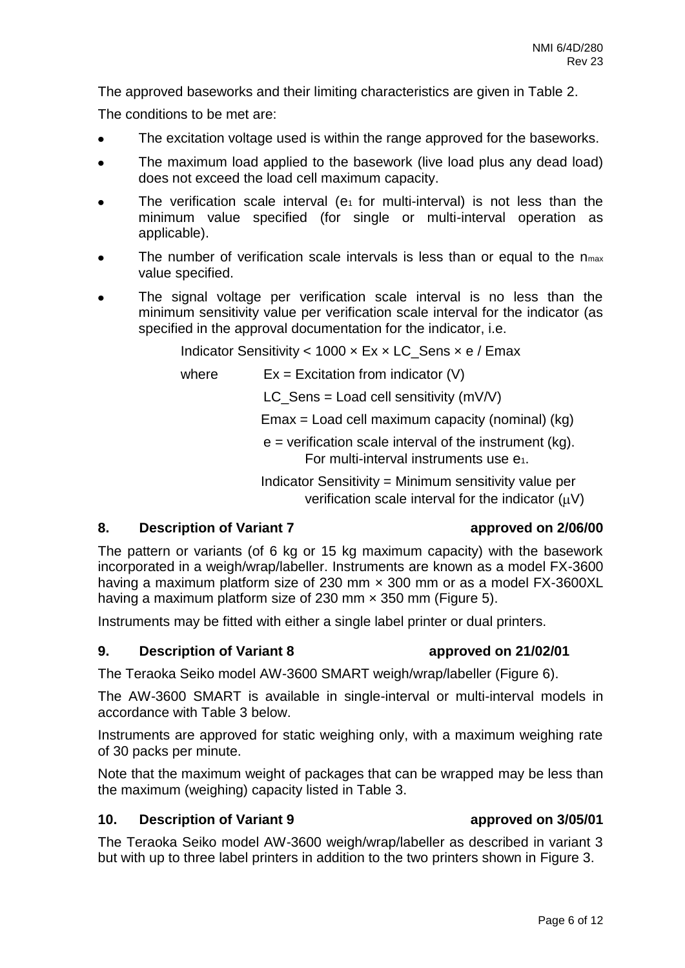The approved baseworks and their limiting characteristics are given in Table 2.

The conditions to be met are:

- The excitation voltage used is within the range approved for the baseworks.
- The maximum load applied to the basework (live load plus any dead load) does not exceed the load cell maximum capacity.
- The verification scale interval ( $e_1$  for multi-interval) is not less than the minimum value specified (for single or multi-interval operation as applicable).
- The number of verification scale intervals is less than or equal to the n<sub>max</sub> value specified.
- The signal voltage per verification scale interval is no less than the minimum sensitivity value per verification scale interval for the indicator (as specified in the approval documentation for the indicator, i.e.

Indicator Sensitivity  $<$  1000  $\times$  Ex  $\times$  LC Sens  $\times$  e / Emax

where  $Ex = Excitation from indicator (V)$ 

LC Sens = Load cell sensitivity (mV/V)

Emax = Load cell maximum capacity (nominal) (kg)

 $e$  = verification scale interval of the instrument (kg). For multi-interval instruments use  $e_1$ .

Indicator Sensitivity = Minimum sensitivity value per verification scale interval for the indicator  $(uV)$ 

### **8. Description of Variant 7 approved on 2/06/00**

The pattern or variants (of 6 kg or 15 kg maximum capacity) with the basework incorporated in a weigh/wrap/labeller. Instruments are known as a model FX-3600 having a maximum platform size of 230 mm  $\times$  300 mm or as a model FX-3600XL having a maximum platform size of 230 mm  $\times$  350 mm (Figure 5).

Instruments may be fitted with either a single label printer or dual printers.

### **9. Description of Variant 8 approved on 21/02/01**

The Teraoka Seiko model AW-3600 SMART weigh/wrap/labeller (Figure 6).

The AW-3600 SMART is available in single-interval or multi-interval models in accordance with Table 3 below.

Instruments are approved for static weighing only, with a maximum weighing rate of 30 packs per minute.

Note that the maximum weight of packages that can be wrapped may be less than the maximum (weighing) capacity listed in Table 3.

### **10. Description of Variant 9 approved on 3/05/01**

The Teraoka Seiko model AW-3600 weigh/wrap/labeller as described in variant 3 but with up to three label printers in addition to the two printers shown in Figure 3.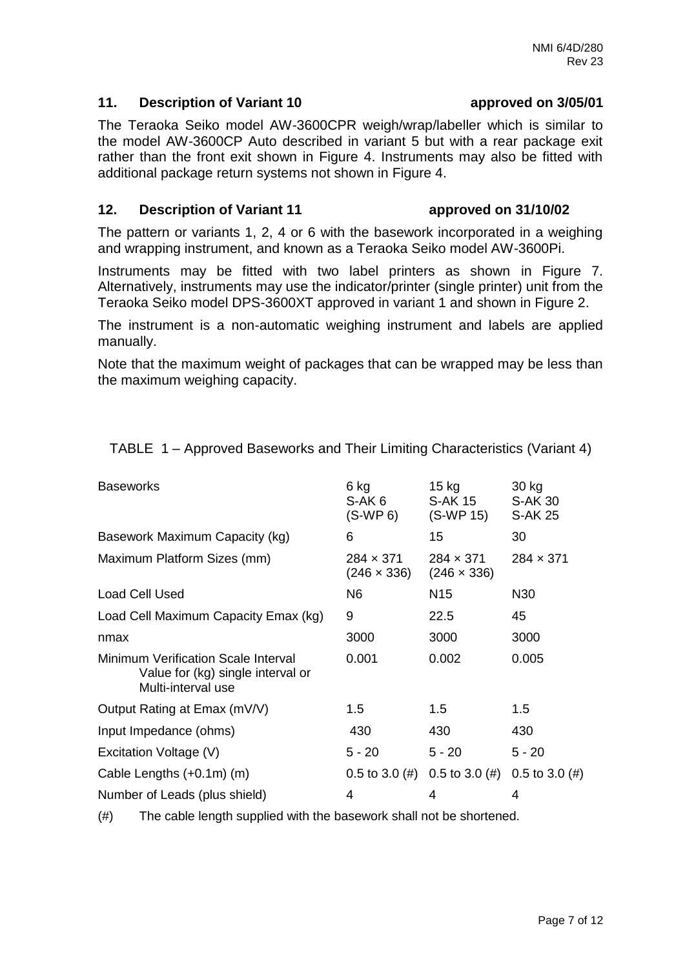### **11. Description of Variant 10 approved on 3/05/01**

The Teraoka Seiko model AW-3600CPR weigh/wrap/labeller which is similar to the model AW-3600CP Auto described in variant 5 but with a rear package exit rather than the front exit shown in Figure 4. Instruments may also be fitted with additional package return systems not shown in Figure 4.

### **12. Description of Variant 11 approved on 31/10/02**

The pattern or variants 1, 2, 4 or 6 with the basework incorporated in a weighing and wrapping instrument, and known as a Teraoka Seiko model AW-3600Pi.

Instruments may be fitted with two label printers as shown in Figure 7. Alternatively, instruments may use the indicator/printer (single printer) unit from the Teraoka Seiko model DPS-3600XT approved in variant 1 and shown in Figure 2.

The instrument is a non-automatic weighing instrument and labels are applied manually.

Note that the maximum weight of packages that can be wrapped may be less than the maximum weighing capacity.

| <b>Baseworks</b>                                                                               | 6 kg<br>S-AK 6<br>$(S-WP 6)$           | 15 kg<br>S-AK 15<br>(S-WP 15)          | 30 kg<br><b>S-AK 30</b><br><b>S-AK 25</b> |
|------------------------------------------------------------------------------------------------|----------------------------------------|----------------------------------------|-------------------------------------------|
| Basework Maximum Capacity (kg)                                                                 | 6                                      | 15                                     | 30                                        |
| Maximum Platform Sizes (mm)                                                                    | $284 \times 371$<br>$(246 \times 336)$ | $284 \times 371$<br>$(246 \times 336)$ | $284 \times 371$                          |
| <b>Load Cell Used</b>                                                                          | N <sub>6</sub>                         | N15                                    | N30                                       |
| Load Cell Maximum Capacity Emax (kg)                                                           | 9                                      | 22.5                                   | 45                                        |
| nmax                                                                                           | 3000                                   | 3000                                   | 3000                                      |
| Minimum Verification Scale Interval<br>Value for (kg) single interval or<br>Multi-interval use | 0.001                                  | 0.002                                  | 0.005                                     |
| Output Rating at Emax (mV/V)                                                                   | $1.5\,$                                | 1.5                                    | 1.5                                       |
| Input Impedance (ohms)                                                                         | 430                                    | 430                                    | 430                                       |
| Excitation Voltage (V)                                                                         | $5 - 20$                               | $5 - 20$                               | $5 - 20$                                  |
| Cable Lengths (+0.1m) (m)                                                                      | $0.5$ to $3.0$ (#)                     | 0.5 to 3.0 (#) 0.5 to 3.0 (#)          |                                           |
| Number of Leads (plus shield)                                                                  | 4                                      | 4                                      | 4                                         |

TABLE 1 – Approved Baseworks and Their Limiting Characteristics (Variant 4)

(#) The cable length supplied with the basework shall not be shortened.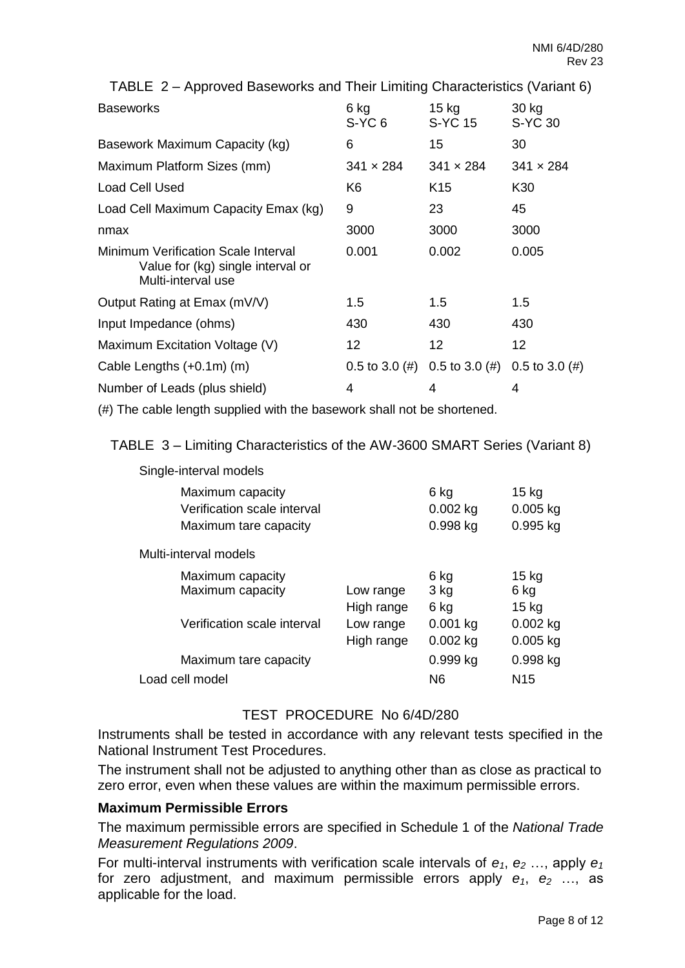TABLE 2 – Approved Baseworks and Their Limiting Characteristics (Variant 6)

| <b>Baseworks</b>                                                                               | 6 kg<br>$S-YC6$    | $15$ kg<br><b>S-YC15</b> | 30 kg<br>S-YC 30  |
|------------------------------------------------------------------------------------------------|--------------------|--------------------------|-------------------|
| Basework Maximum Capacity (kg)                                                                 | 6                  | 15                       | 30                |
| Maximum Platform Sizes (mm)                                                                    | $341 \times 284$   | $341 \times 284$         | $341 \times 284$  |
| Load Cell Used                                                                                 | K6                 | K <sub>15</sub>          | K30               |
| Load Cell Maximum Capacity Emax (kg)                                                           | 9                  | 23                       | 45                |
| nmax                                                                                           | 3000               | 3000                     | 3000              |
| Minimum Verification Scale Interval<br>Value for (kg) single interval or<br>Multi-interval use | 0.001              | 0.002                    | 0.005             |
| Output Rating at Emax (mV/V)                                                                   | $1.5\,$            | 1.5                      | 1.5               |
| Input Impedance (ohms)                                                                         | 430                | 430                      | 430               |
| Maximum Excitation Voltage (V)                                                                 | 12                 | 12                       | 12                |
| Cable Lengths $(+0.1m)$ (m)                                                                    | $0.5$ to $3.0$ (#) | $0.5$ to $3.0$ (#)       | 0.5 to 3.0 $(\#)$ |
| Number of Leads (plus shield)                                                                  | 4                  | 4                        | 4                 |

(#) The cable length supplied with the basework shall not be shortened.

TABLE 3 – Limiting Characteristics of the AW-3600 SMART Series (Variant 8)

| onigio intorval modolo                                                   |                         |                                |                                     |
|--------------------------------------------------------------------------|-------------------------|--------------------------------|-------------------------------------|
| Maximum capacity<br>Verification scale interval<br>Maximum tare capacity |                         | 6 kg<br>$0.002$ kg<br>0.998 kg | $15$ kg<br>$0.005$ kg<br>$0.995$ kg |
| Multi-interval models                                                    |                         |                                |                                     |
| Maximum capacity<br>Maximum capacity                                     | Low range<br>High range | 6 kg<br>3 kg<br>6 kg           | $15$ kg<br>6 kg<br>$15$ kg          |
| Verification scale interval                                              | Low range<br>High range | $0.001$ kg<br>$0.002$ kg       | $0.002$ kg<br>$0.005$ kg            |
| Maximum tare capacity                                                    |                         | $0.999$ kg                     | $0.998$ kg                          |
| Load cell model                                                          |                         | N6                             | N <sub>15</sub>                     |
|                                                                          |                         |                                |                                     |

### TEST PROCEDURE No 6/4D/280

Instruments shall be tested in accordance with any relevant tests specified in the National Instrument Test Procedures.

The instrument shall not be adjusted to anything other than as close as practical to zero error, even when these values are within the maximum permissible errors.

### **Maximum Permissible Errors**

Single-interval models

The maximum permissible errors are specified in Schedule 1 of the *National Trade Measurement Regulations 2009*.

For multi-interval instruments with verification scale intervals of  $e_1$ ,  $e_2$  ..., apply  $e_1$ for zero adjustment, and maximum permissible errors apply  $e_1$ ,  $e_2$  ..., as applicable for the load.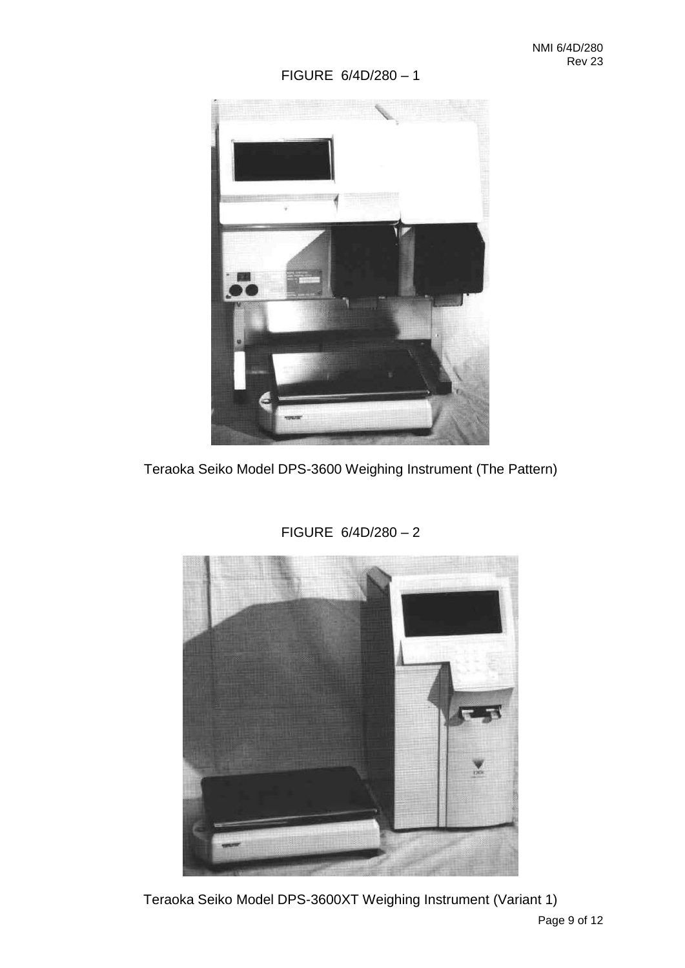### FIGURE 6/4D/280 – 1



Teraoka Seiko Model DPS-3600 Weighing Instrument (The Pattern)



FIGURE 6/4D/280 – 2

Teraoka Seiko Model DPS-3600XT Weighing Instrument (Variant 1)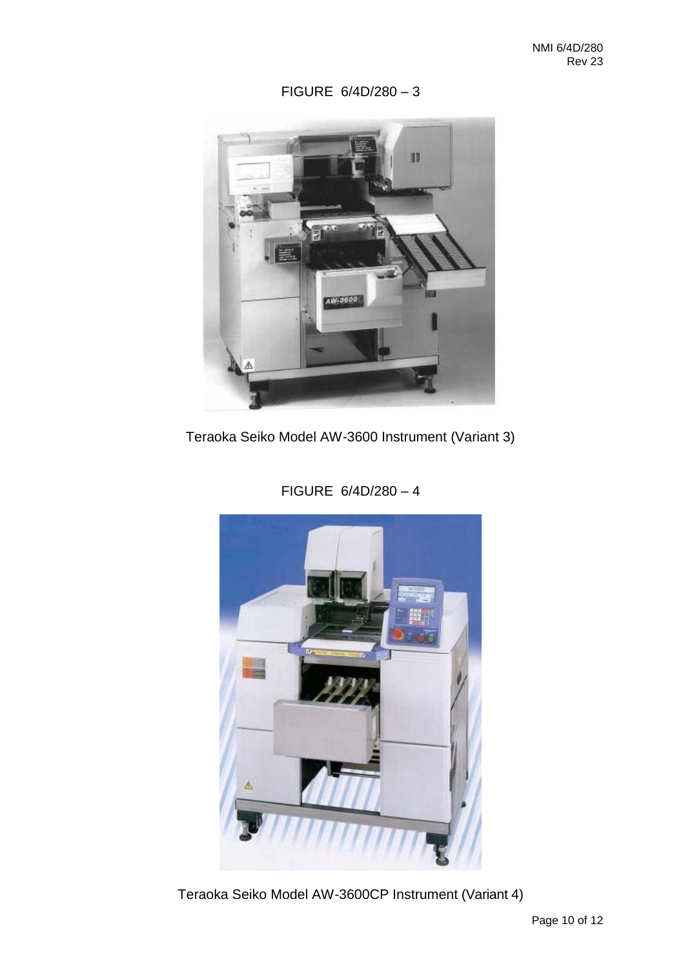FIGURE 6/4D/280 – 3



Teraoka Seiko Model AW-3600 Instrument (Variant 3)



FIGURE 6/4D/280 – 4

Teraoka Seiko Model AW-3600CP Instrument (Variant 4)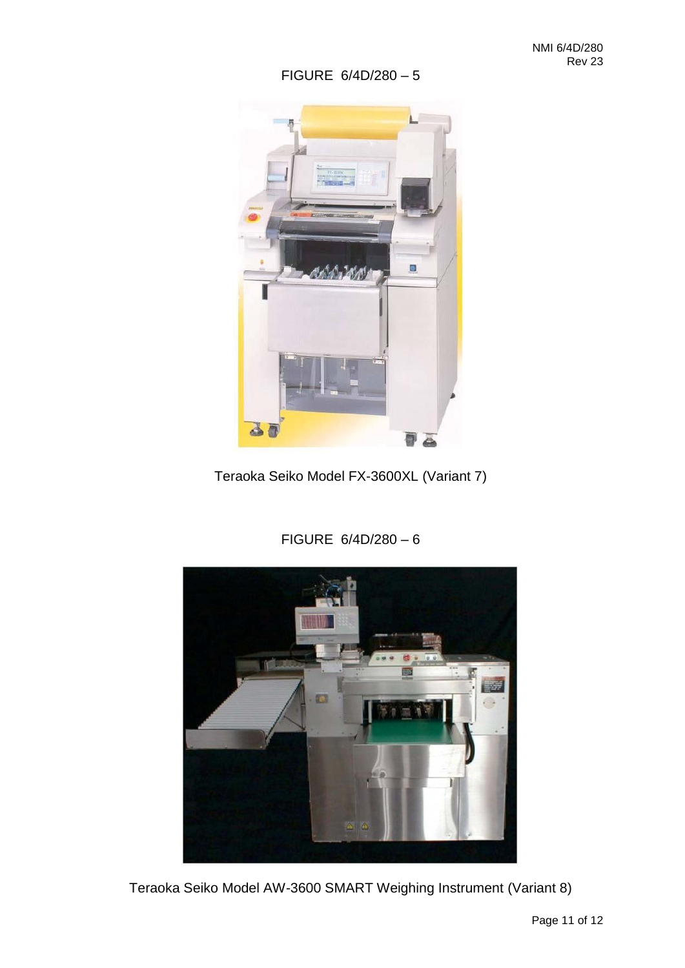### FIGURE 6/4D/280 – 5



Teraoka Seiko Model FX-3600XL (Variant 7)



### FIGURE 6/4D/280 – 6

Teraoka Seiko Model AW-3600 SMART Weighing Instrument (Variant 8)